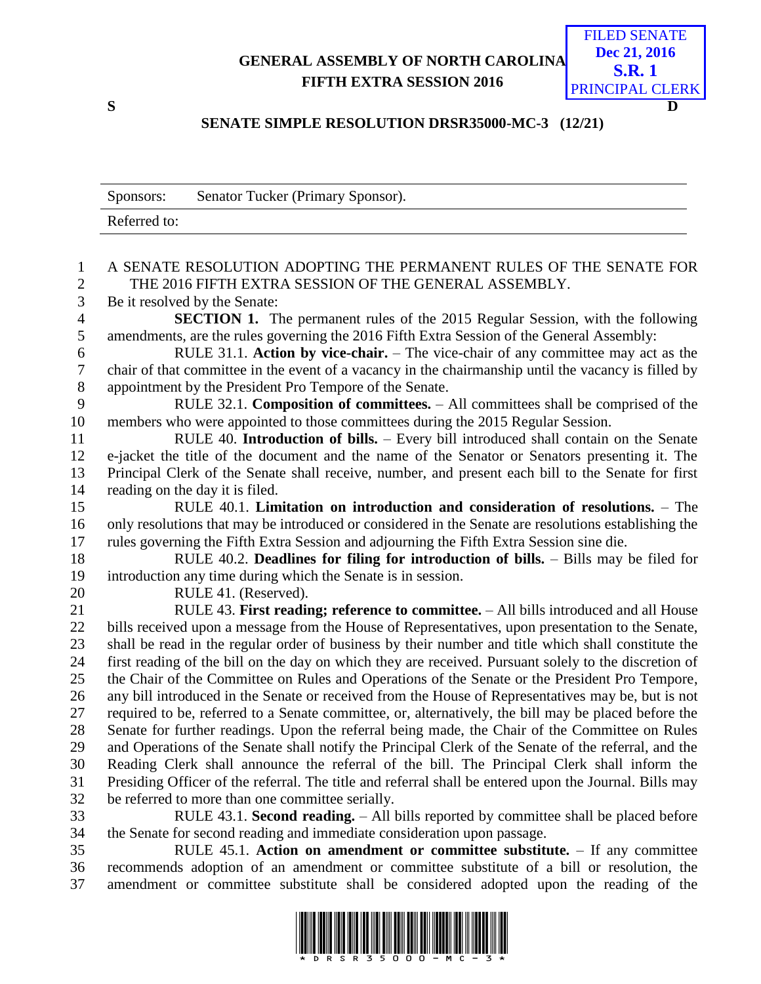## **GENERAL ASSEMBLY OF NORTH CAROLINA FIFTH EXTRA SESSION 2016**



## **SENATE SIMPLE RESOLUTION DRSR35000-MC-3 (12/21)**

|                | Senator Tucker (Primary Sponsor).<br>Sponsors:                                                         |
|----------------|--------------------------------------------------------------------------------------------------------|
|                | Referred to:                                                                                           |
|                |                                                                                                        |
| 1              | A SENATE RESOLUTION ADOPTING THE PERMANENT RULES OF THE SENATE FOR                                     |
| $\overline{c}$ | THE 2016 FIFTH EXTRA SESSION OF THE GENERAL ASSEMBLY.                                                  |
| $\mathfrak{Z}$ | Be it resolved by the Senate:                                                                          |
| $\overline{4}$ | <b>SECTION 1.</b> The permanent rules of the 2015 Regular Session, with the following                  |
| 5              | amendments, are the rules governing the 2016 Fifth Extra Session of the General Assembly:              |
| 6              | RULE 31.1. Action by vice-chair. - The vice-chair of any committee may act as the                      |
| $\tau$         | chair of that committee in the event of a vacancy in the chairmanship until the vacancy is filled by   |
| $8\,$          | appointment by the President Pro Tempore of the Senate.                                                |
| 9              | RULE 32.1. Composition of committees. - All committees shall be comprised of the                       |
| 10             | members who were appointed to those committees during the 2015 Regular Session.                        |
| 11             | RULE 40. Introduction of bills. - Every bill introduced shall contain on the Senate                    |
| 12             | e-jacket the title of the document and the name of the Senator or Senators presenting it. The          |
| 13             | Principal Clerk of the Senate shall receive, number, and present each bill to the Senate for first     |
| 14             | reading on the day it is filed.                                                                        |
| 15             | RULE $40.1$ . Limitation on introduction and consideration of resolutions. $-$ The                     |
| 16             | only resolutions that may be introduced or considered in the Senate are resolutions establishing the   |
| 17             | rules governing the Fifth Extra Session and adjourning the Fifth Extra Session sine die.               |
| 18             | RULE 40.2. Deadlines for filing for introduction of bills. - Bills may be filed for                    |
| 19             | introduction any time during which the Senate is in session.                                           |
| 20             | RULE 41. (Reserved).                                                                                   |
| 21             | RULE 43. First reading; reference to committee. - All bills introduced and all House                   |
| 22             | bills received upon a message from the House of Representatives, upon presentation to the Senate,      |
| 23             | shall be read in the regular order of business by their number and title which shall constitute the    |
| 24             | first reading of the bill on the day on which they are received. Pursuant solely to the discretion of  |
| 25             | the Chair of the Committee on Rules and Operations of the Senate or the President Pro Tempore,         |
| 26             | any bill introduced in the Senate or received from the House of Representatives may be, but is not     |
| 27             | required to be, referred to a Senate committee, or, alternatively, the bill may be placed before the   |
| 28             | Senate for further readings. Upon the referral being made, the Chair of the Committee on Rules         |
| 29             | and Operations of the Senate shall notify the Principal Clerk of the Senate of the referral, and the   |
| 30             | Reading Clerk shall announce the referral of the bill. The Principal Clerk shall inform the            |
| 31             | Presiding Officer of the referral. The title and referral shall be entered upon the Journal. Bills may |
| 32             | be referred to more than one committee serially.                                                       |
| 33             | RULE 43.1. Second reading. - All bills reported by committee shall be placed before                    |
| 34             | the Senate for second reading and immediate consideration upon passage.                                |
| 35             | RULE 45.1. Action on amendment or committee substitute. - If any committee                             |
| 36             | recommends adoption of an amendment or committee substitute of a bill or resolution, the               |
| 37             | amendment or committee substitute shall be considered adopted upon the reading of the                  |